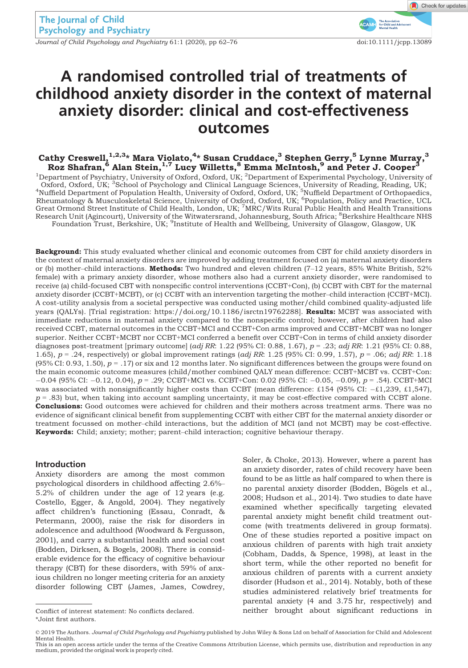Journal of Child Psychology and Psychiatry 61:1 (2020), pp 62–76 doi:10.1111/jcpp.13089

#### Check for updates

# A randomised controlled trial of treatments of childhood anxiety disorder in the context of maternal anxiety disorder: clinical and cost-effectiveness outcomes

Cathy Creswell,  $^{1,2,3}$ \* Mara Violato,  $^{4}$ \* Susan Cruddace,  $^3$  Stephen Gerry,  $^5$  Lynne Murray,  $^3$ Roz Shafran, $^6$  Alan Stein, $^{1,7}$  Lucy Willetts, $^8$  Emma McIntosh, $^9$  and Peter J. Cooper $^3$ 

<sup>1</sup>Department of Psychiatry, University of Oxford, Oxford, UK; <sup>2</sup>Department of Experimental Psychology, University of Oxford, Oxford, UK; <sup>3</sup>School of Psychology and Clinical Language Sciences, University of Reading, Reading, UK; Oxford, Oxford, UK; <sup>3</sup>School of Psychology and Clinical Language Sciences, University of Reading, Reading, UK;<br><sup>4</sup>Nuffield Department of Population Health, University of Oxford, Oxford, UK; <sup>5</sup>Nuffield Department of Ortho Great Ormond Street Institute of Child Health, London, UK; <sup>7</sup>MRC/Wits Rural Public Health and Health Transitions<br>Research Unit (Agincourt), University of the Witwatersrand, Johannesburg, South Africa; <sup>8</sup>Berkshire Healthc Foundation Trust, Berkshire, UK; <sup>9</sup>Institute of Health and Wellbeing, University of Glasgow, Glasgow, UK

Background: This study evaluated whether clinical and economic outcomes from CBT for child anxiety disorders in the context of maternal anxiety disorders are improved by adding treatment focused on (a) maternal anxiety disorders or (b) mother–child interactions. **Methods:** Two hundred and eleven children  $(7-12 \text{ years}, 85\% \text{ White British}, 52\%$ female) with a primary anxiety disorder, whose mothers also had a current anxiety disorder, were randomised to receive (a) child-focused CBT with nonspecific control interventions (CCBT+Con), (b) CCBT with CBT for the maternal anxiety disorder (CCBT+MCBT), or (c) CCBT with an intervention targeting the mother–child interaction (CCBT+MCI). A cost-utility analysis from a societal perspective was conducted using mother/child combined quality-adjusted life years (QALYs). [Trial registration: [https://doi.org/10.1186/isrctn19762288\]](https://doi.org/10.1186/isrctn19762288). Results: MCBT was associated with immediate reductions in maternal anxiety compared to the nonspecific control; however, after children had also received CCBT, maternal outcomes in the CCBT+MCI and CCBT+Con arms improved and CCBT+MCBT was no longer superior. Neither CCBT+MCBT nor CCBT+MCI conferred a benefit over CCBT+Con in terms of child anxiety disorder diagnoses post-treatment [primary outcome] (adj RR: 1.22 (95% CI: 0.88, 1.67),  $p = .23$ ; adj RR: 1.21 (95% CI: 0.88, 1.65),  $p = .24$ , respectively) or global improvement ratings (adj RR: 1.25 (95% CI: 0.99, 1.57),  $p = .06$ ; adj RR: 1.18 (95% CI: 0.93, 1.50),  $p = .17$ ) or six and 12 months later. No significant differences between the groups were found on the main economic outcome measures (child/mother combined QALY mean difference: CCBT+MCBT vs. CCBT+Con:  $-0.04$  (95% CI:  $-0.12$ , 0.04), p = .29; CCBT+MCI vs. CCBT+Con: 0.02 (95% CI:  $-0.05$ ,  $-0.09$ ), p = .54). CCBT+MCI was associated with nonsignificantly higher costs than CCBT (mean difference: £154 (95% CI:  $-£1,239, £1,547$ ),  $p = .83$ ) but, when taking into account sampling uncertainty, it may be cost-effective compared with CCBT alone. Conclusions: Good outcomes were achieved for children and their mothers across treatment arms. There was no evidence of significant clinical benefit from supplementing CCBT with either CBT for the maternal anxiety disorder or treatment focussed on mother–child interactions, but the addition of MCI (and not MCBT) may be cost-effective. Keywords: Child; anxiety; mother; parent–child interaction; cognitive behaviour therapy.

# Introduction

Anxiety disorders are among the most common psychological disorders in childhood affecting 2.6%– 5.2% of children under the age of 12 years (e.g. Costello, Egger, & Angold, 2004). They negatively affect children's functioning (Essau, Conradt, & Petermann, 2000), raise the risk for disorders in adolescence and adulthood (Woodward & Fergusson, 2001), and carry a substantial health and social cost (Bodden, Dirksen, & Bogels, 2008). There is considerable evidence for the efficacy of cognitive behaviour therapy (CBT) for these disorders, with 59% of anxious children no longer meeting criteria for an anxiety disorder following CBT (James, James, Cowdrey,

Soler, & Choke, 2013). However, where a parent has an anxiety disorder, rates of child recovery have been found to be as little as half compared to when there is no parental anxiety disorder (Bodden, Bögels et al., 2008; Hudson et al., 2014). Two studies to date have examined whether specifically targeting elevated parental anxiety might benefit child treatment outcome (with treatments delivered in group formats). One of these studies reported a positive impact on anxious children of parents with high trait anxiety (Cobham, Dadds, & Spence, 1998), at least in the short term, while the other reported no benefit for anxious children of parents with a current anxiety disorder (Hudson et al., 2014). Notably, both of these studies administered relatively brief treatments for parental anxiety (4 and 3.75 hr, respectively) and Conflict of interest statement: No conflicts declared. neither brought about significant reductions in

Mental Health. This is an open access article under the terms of the [Creative Commons Attribution](http://creativecommons.org/licenses/by/4.0/) License, which permits use, distribution and reproduction in any medium, provided the original work is properly cited.

<sup>\*</sup>Joint first authors.

<sup>© 2019</sup> The Authors. Journal of Child Psychology and Psychiatry published by John Wiley & Sons Ltd on behalf of Association for Child and Adolescent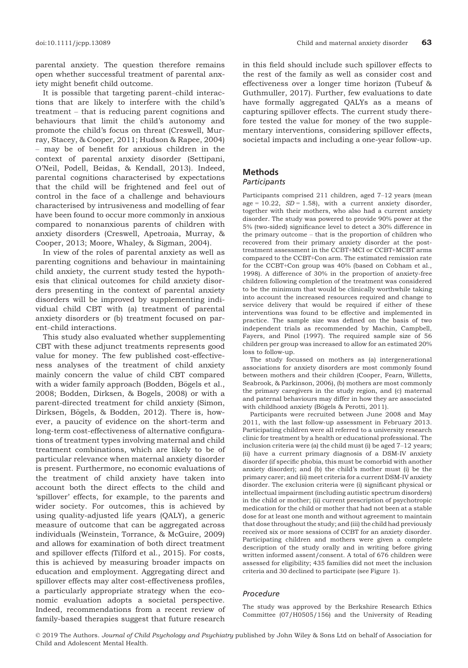parental anxiety. The question therefore remains open whether successful treatment of parental anxiety might benefit child outcome.

It is possible that targeting parent–child interactions that are likely to interfere with the child's treatment – that is reducing parent cognitions and behaviours that limit the child's autonomy and promote the child's focus on threat (Creswell, Murray, Stacey, & Cooper, 2011; Hudson & Rapee, 2004) – may be of benefit for anxious children in the context of parental anxiety disorder (Settipani, O'Neil, Podell, Beidas, & Kendall, 2013). Indeed, parental cognitions characterised by expectations that the child will be frightened and feel out of control in the face of a challenge and behaviours characterised by intrusiveness and modelling of fear have been found to occur more commonly in anxious compared to nonanxious parents of children with anxiety disorders (Creswell, Apetroaia, Murray, & Cooper, 2013; Moore, Whaley, & Sigman, 2004).

In view of the roles of parental anxiety as well as parenting cognitions and behaviour in maintaining child anxiety, the current study tested the hypothesis that clinical outcomes for child anxiety disorders presenting in the context of parental anxiety disorders will be improved by supplementing individual child CBT with (a) treatment of parental anxiety disorders or (b) treatment focused on parent–child interactions.

This study also evaluated whether supplementing CBT with these adjunct treatments represents good value for money. The few published cost-effectiveness analyses of the treatment of child anxiety mainly concern the value of child CBT compared with a wider family approach (Bodden, Bögels et al., 2008; Bodden, Dirksen, & Bogels, 2008) or with a parent-directed treatment for child anxiety (Simon, Dirksen, Bögels, & Bodden, 2012). There is, however, a paucity of evidence on the short-term and long-term cost-effectiveness of alternative configurations of treatment types involving maternal and child treatment combinations, which are likely to be of particular relevance when maternal anxiety disorder is present. Furthermore, no economic evaluations of the treatment of child anxiety have taken into account both the direct effects to the child and 'spillover' effects, for example, to the parents and wider society. For outcomes, this is achieved by using quality-adjusted life years (QALY), a generic measure of outcome that can be aggregated across individuals (Weinstein, Torrance, & McGuire, 2009) and allows for examination of both direct treatment and spillover effects (Tilford et al., 2015). For costs, this is achieved by measuring broader impacts on education and employment. Aggregating direct and spillover effects may alter cost-effectiveness profiles, a particularly appropriate strategy when the economic evaluation adopts a societal perspective. Indeed, recommendations from a recent review of family-based therapies suggest that future research

in this field should include such spillover effects to the rest of the family as well as consider cost and effectiveness over a longer time horizon (Tubeuf & Guthmuller, 2017). Further, few evaluations to date have formally aggregated QALYs as a means of capturing spillover effects. The current study therefore tested the value for money of the two supplementary interventions, considering spillover effects, societal impacts and including a one-year follow-up.

# Methods

#### **Participants**

Participants comprised 211 children, aged 7–12 years (mean age =  $10.22$ ,  $SD = 1.58$ ), with a current anxiety disorder, together with their mothers, who also had a current anxiety disorder. The study was powered to provide 90% power at the 5% (two-sided) significance level to detect a 30% difference in the primary outcome – that is the proportion of children who recovered from their primary anxiety disorder at the posttreatment assessment in the CCBT+MCI or CCBT+MCBT arms compared to the CCBT+Con arm. The estimated remission rate for the CCBT+Con group was 40% (based on Cobham et al., 1998). A difference of 30% in the proportion of anxiety-free children following completion of the treatment was considered to be the minimum that would be clinically worthwhile taking into account the increased resources required and change to service delivery that would be required if either of these interventions was found to be effective and implemented in practice. The sample size was defined on the basis of two independent trials as recommended by Machin, Campbell, Fayers, and Pinol (1997). The required sample size of 56 children per group was increased to allow for an estimated 20% loss to follow-up.

The study focussed on mothers as (a) intergenerational associations for anxiety disorders are most commonly found between mothers and their children (Cooper, Fearn, Willetts, Seabrook, & Parkinson, 2006), (b) mothers are most commonly the primary caregivers in the study region, and (c) maternal and paternal behaviours may differ in how they are associated with childhood anxiety (Bögels & Perotti, 2011).

Participants were recruited between June 2008 and May 2011, with the last follow-up assessment in February 2013. Participating children were all referred to a university research clinic for treatment by a health or educational professional. The inclusion criteria were (a) the child must (i) be aged 7–12 years; (ii) have a current primary diagnosis of a DSM-IV anxiety disorder (if specific phobia, this must be comorbid with another anxiety disorder); and (b) the child's mother must (i) be the primary carer; and (ii) meet criteria for a current DSM-IV anxiety disorder. The exclusion criteria were (i) significant physical or intellectual impairment (including autistic spectrum disorders) in the child or mother; (ii) current prescription of psychotropic medication for the child or mother that had not been at a stable dose for at least one month and without agreement to maintain that dose throughout the study; and (iii) the child had previously received six or more sessions of CCBT for an anxiety disorder. Participating children and mothers were given a complete description of the study orally and in writing before giving written informed assent/consent. A total of 676 children were assessed for eligibility; 435 families did not meet the inclusion criteria and 30 declined to participate (see Figure 1).

## Procedure

The study was approved by the Berkshire Research Ethics Committee (07/H0505/156) and the University of Reading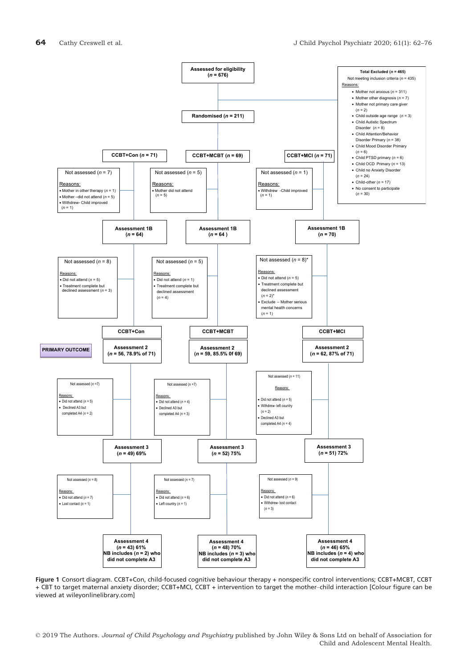

Figure 1 Consort diagram. CCBT+Con, child-focused cognitive behaviour therapy + nonspecific control interventions; CCBT+MCBT, CCBT + CBT to target maternal anxiety disorder; CCBT+MCI, CCBT + intervention to target the mother–child interaction [Colour figure can be viewed at [wileyonlinelibrary.com](www.wileyonlinelibrary.com)]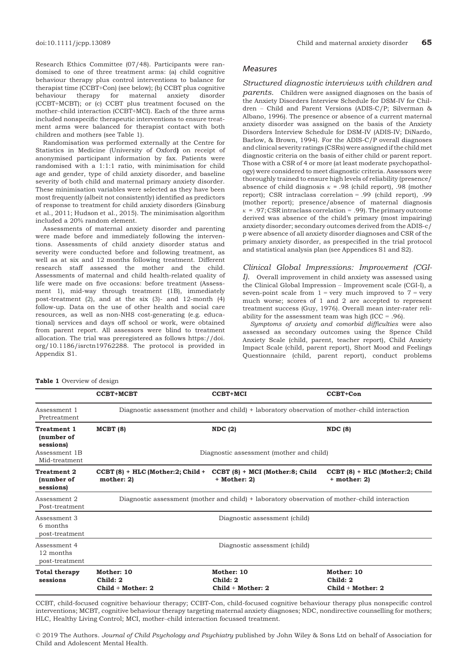Research Ethics Committee (07/48). Participants were randomised to one of three treatment arms: (a) child cognitive behaviour therapy plus control interventions to balance for therapist time (CCBT+Con) (see below); (b) CCBT plus cognitive behaviour therapy for maternal anxiety disorder (CCBT+MCBT); or (c) CCBT plus treatment focused on the mother–child interaction (CCBT+MCI). Each of the three arms included nonspecific therapeutic interventions to ensure treatment arms were balanced for therapist contact with both children and mothers (see Table 1).

Randomisation was performed externally at the Centre for Statistics in Medicine (University of Oxford) on receipt of anonymised participant information by fax. Patients were randomised with a 1:1:1 ratio, with minimisation for child age and gender, type of child anxiety disorder, and baseline severity of both child and maternal primary anxiety disorder. These minimisation variables were selected as they have been most frequently (albeit not consistently) identified as predictors of response to treatment for child anxiety disorders (Ginsburg et al., 2011; Hudson et al., 2015). The minimisation algorithm included a 20% random element.

Assessments of maternal anxiety disorder and parenting were made before and immediately following the interventions. Assessments of child anxiety disorder status and severity were conducted before and following treatment, as well as at six and 12 months following treatment. Different research staff assessed the mother and the child. Assessments of maternal and child health-related quality of life were made on five occasions: before treatment (Assessment 1), mid-way through treatment (1B), immediately post-treatment (2), and at the six (3)- and 12-month (4) follow-up. Data on the use of other health and social care resources, as well as non-NHS cost-generating (e.g. educational) services and days off school or work, were obtained from parent report. All assessors were blind to treatment allocation. The trial was preregistered as follows [https://doi.](https://doi.org/10.1186/isrctn19762288) [org/10.1186/isrctn19762288.](https://doi.org/10.1186/isrctn19762288) The protocol is provided in Appendix S1.

#### **Measures**

Structured diagnostic interviews with children and parents. Children were assigned diagnoses on the basis of the Anxiety Disorders Interview Schedule for DSM-IV for Children – Child and Parent Versions (ADIS-C/P; Silverman & Albano, 1996). The presence or absence of a current maternal anxiety disorder was assigned on the basis of the Anxiety Disorders Interview Schedule for DSM-IV (ADIS-IV; DiNardo, Barlow, & Brown, 1994). For the ADIS-C/P overall diagnoses and clinical severity ratings (CSRs) were assigned if the childmet diagnostic criteria on the basis of either child or parent report. Those with a CSR of 4 or more (at least moderate psychopathology) were considered to meet diagnostic criteria. Assessors were thoroughly trained to ensure high levels of reliability (presence/ absence of child diagnosis  $\kappa$  = .98 (child report), .98 (mother report); CSR intraclass correlation = .99 (child report), .99 (mother report); presence/absence of maternal diagnosis  $\kappa$  = .97; CSR intraclass correlation = .99). The primary outcome derived was absence of the child's primary (most impairing) anxiety disorder; secondary outcomes derived from the ADIS-c/ p were absence of all anxiety disorder diagnoses and CSR of the primary anxiety disorder, as prespecified in the trial protocol and statistical analysis plan (see Appendices S1 and S2).

Clinical Global Impressions: Improvement (CGI-I). Overall improvement in child anxiety was assessed using the Clinical Global Impression – Improvement scale (CGI-I), a seven-point scale from  $1 = \text{very much improved to } 7 = \text{very}$ much worse; scores of 1 and 2 are accepted to represent treatment success (Guy, 1976). Overall mean inter-rater reliability for the assessment team was high  $(ICC = .96)$ .

Symptoms of anxiety and comorbid difficulties were also assessed as secondary outcomes using the Spence Child Anxiety Scale (child, parent, teacher report), Child Anxiety Impact Scale (child, parent report), Short Mood and Feelings Questionnaire (child, parent report), conduct problems

|                                               | <b>CCBT+MCBT</b>                                   | <b>CCBT+MCI</b>                                                                               | $CCBT+Con$                                        |
|-----------------------------------------------|----------------------------------------------------|-----------------------------------------------------------------------------------------------|---------------------------------------------------|
| Assessment 1<br>Pretreatment                  |                                                    | Diagnostic assessment (mother and child) + laboratory observation of mother-child interaction |                                                   |
| <b>Treatment 1</b><br>(number of<br>sessions) | MCBT(8)                                            | NDC(2)                                                                                        | <b>NDC</b> (8)                                    |
| Assessment 1B<br>Mid-treatment                |                                                    | Diagnostic assessment (mother and child)                                                      |                                                   |
| <b>Treatment 2</b><br>(number of<br>sessions) | $CCBT(8) + HLC (Mother:2; Child +$<br>mother: $2)$ | CCBT (8) + MCI (Mother:8; Child<br>$+$ Mother: 2)                                             | $CCBT(8) + HLC(Mother:2; Child$<br>$+$ mother: 2) |
| Assessment 2<br>Post-treatment                |                                                    | Diagnostic assessment (mother and child) + laboratory observation of mother-child interaction |                                                   |
| Assessment 3<br>6 months<br>post-treatment    |                                                    | Diagnostic assessment (child)                                                                 |                                                   |
| Assessment 4<br>12 months<br>post-treatment   |                                                    | Diagnostic assessment (child)                                                                 |                                                   |
| Total therapy<br>sessions                     | Mother: 10<br>Child: 2<br>$Child + Mother: 2$      | Mother: 10<br>Child: 2<br>$Child + Mother: 2$                                                 | Mother: 10<br>Child: 2<br>$Child + Mother: 2$     |

CCBT, child-focused cognitive behaviour therapy; CCBT-Con, child-focused cognitive behaviour therapy plus nonspecific control interventions; MCBT, cognitive behaviour therapy targeting maternal anxiety diagnoses; NDC, nondirective counselling for mothers; HLC, Healthy Living Control; MCI, mother–child interaction focussed treatment.

© 2019 The Authors. Journal of Child Psychology and Psychiatry published by John Wiley & Sons Ltd on behalf of Association for Child and Adolescent Mental Health.

#### Table 1 Overview of design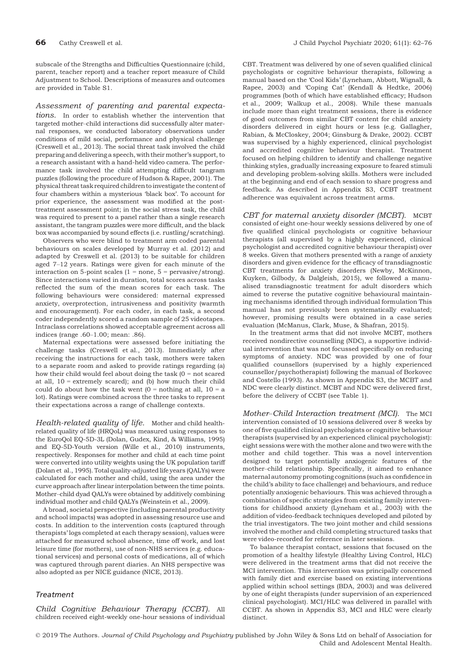subscale of the Strengths and Difficulties Questionnaire (child, parent, teacher report) and a teacher report measure of Child Adjustment to School. Descriptions of measures and outcomes are provided in Table S1.

Assessment of parenting and parental expectations. In order to establish whether the intervention that targeted mother–child interactions did successfully alter maternal responses, we conducted laboratory observations under conditions of mild social, performance and physical challenge (Creswell et al., 2013). The social threat task involved the child preparing and delivering a speech, with their mother's support, to a research assistant with a hand-held video camera. The performance task involved the child attempting difficult tangram puzzles (following the procedure of Hudson & Rapee, 2001). The physical threat task required children to investigate the content of four chambers within a mysterious 'black box'. To account for prior experience, the assessment was modified at the posttreatment assessment point; in the social stress task, the child was required to present to a panel rather than a single research assistant, the tangram puzzles were more difficult, and the black box was accompanied by sound effects (i.e. rustling/scratching).

Observers who were blind to treatment arm coded parental behaviours on scales developed by Murray et al. (2012) and adapted by Creswell et al. (2013) to be suitable for children aged 7–12 years. Ratings were given for each minute of the interaction on 5-point scales  $(1 = none, 5 = pervasive/strong)$ . Since interactions varied in duration, total scores across tasks reflected the sum of the mean scores for each task. The following behaviours were considered: maternal expressed anxiety, overprotection, intrusiveness and positivity (warmth and encouragement). For each coder, in each task, a second coder independently scored a random sample of 25 videotapes. Intraclass correlations showed acceptable agreement across all indices (range .60–1.00; mean: .86).

Maternal expectations were assessed before initiating the challenge tasks (Creswell et al., 2013). Immediately after receiving the instructions for each task, mothers were taken to a separate room and asked to provide ratings regarding (a) how their child would feel about doing the task  $(0 = not)$  scared at all,  $10 =$  extremely scared); and (b) how much their child could do about how the task went  $(0 = \text{nothing})$  at all,  $10 = \text{a}$ lot). Ratings were combined across the three tasks to represent their expectations across a range of challenge contexts.

Health-related quality of life. Mother and child healthrelated quality of life (HRQoL) was measured using responses to the EuroQol EQ-5D-3L (Dolan, Gudex, Kind, & Williams, 1995) and EQ-5D-Youth version (Wille et al., 2010) instruments, respectively. Responses for mother and child at each time point were converted into utility weights using the UK population tariff (Dolan et al., 1995). Total quality-adjusted life years (QALYs) were calculated for each mother and child, using the area under the curve approach after linear interpolation between the time points. Mother–child dyad QALYs were obtained by additively combining individual mother and child QALYs (Weinstein et al., 2009).

A broad, societal perspective (including parental productivity and school impacts) was adopted in assessing resource use and costs. In addition to the intervention costs (captured through therapists' logs completed at each therapy session), values were attached for measured school absence, time off work, and lost leisure time (for mothers), use of non-NHS services (e.g. educational services) and personal costs of medications, all of which was captured through parent diaries. An NHS perspective was also adopted as per NICE guidance (NICE, 2013).

# Treatment

Child Cognitive Behaviour Therapy (CCBT). All children received eight-weekly one-hour sessions of individual

CBT. Treatment was delivered by one of seven qualified clinical psychologists or cognitive behaviour therapists, following a manual based on the 'Cool Kids' (Lyneham, Abbott, Wignall, & Rapee, 2003) and 'Coping Cat' (Kendall & Hedtke, 2006) programmes (both of which have established efficacy; Hudson et al., 2009; Walkup et al., 2008). While these manuals include more than eight treatment sessions, there is evidence of good outcomes from similar CBT content for child anxiety disorders delivered in eight hours or less (e.g. Gallagher, Rabian, & McCloskey, 2004; Ginsburg & Drake, 2002). CCBT was supervised by a highly experienced, clinical psychologist and accredited cognitive behaviour therapist. Treatment focused on helping children to identify and challenge negative thinking styles, gradually increasing exposure to feared stimuli and developing problem-solving skills. Mothers were included at the beginning and end of each session to share progress and feedback. As described in Appendix S3, CCBT treatment adherence was equivalent across treatment arms.

CBT for maternal anxiety disorder (MCBT). MCBT consisted of eight one-hour weekly sessions delivered by one of five qualified clinical psychologists or cognitive behaviour therapists (all supervised by a highly experienced, clinical psychologist and accredited cognitive behaviour therapist) over 8 weeks. Given that mothers presented with a range of anxiety disorders and given evidence for the efficacy of transdiagnostic CBT treatments for anxiety disorders (Newby, McKinnon, Kuyken, Gilbody, & Dalgleish, 2015), we followed a manualised transdiagnostic treatment for adult disorders which aimed to reverse the putative cognitive behavioural maintaining mechanisms identified through individual formulation This manual has not previously been systematically evaluated; however, promising results were obtained in a case series evaluation (McManus, Clark, Muse, & Shafran, 2015).

In the treatment arms that did not involve MCBT, mothers received nondirective counselling (NDC), a supportive individual intervention that was not focussed specifically on reducing symptoms of anxiety. NDC was provided by one of four qualified counsellors (supervised by a highly experienced counsellor/psychotherapist) following the manual of Borkovec and Costello (1993). As shown in Appendix S3, the MCBT and NDC were clearly distinct. MCBT and NDC were delivered first, before the delivery of CCBT (see Table 1).

Mother–Child Interaction treatment (MCI). The MCI intervention consisted of 10 sessions delivered over 8 weeks by one of five qualified clinical psychologists or cognitive behaviour therapists (supervised by an experienced clinical psychologist): eight sessions were with the mother alone and two were with the mother and child together. This was a novel intervention designed to target potentially anxiogenic features of the mother–child relationship. Specifically, it aimed to enhance maternal autonomy promoting cognitions (such as confidence in the child's ability to face challenge) and behaviours, and reduce potentially anxiogenic behaviours. This was achieved through a combination of specific strategies from existing family interventions for childhood anxiety (Lyneham et al., 2003) with the addition of video-feedback techniques developed and piloted by the trial investigators. The two joint mother and child sessions involved the mother and child completing structured tasks that were video-recorded for reference in later sessions.

To balance therapist contact, sessions that focused on the promotion of a healthy lifestyle (Healthy Living Control, HLC) were delivered in the treatment arms that did not receive the MCI intervention. This intervention was principally concerned with family diet and exercise based on existing interventions applied within school settings (BDA, 2003) and was delivered by one of eight therapists (under supervision of an experienced clinical psychologist). MCI/HLC was delivered in parallel with CCBT. As shown in Appendix S3, MCI and HLC were clearly distinct.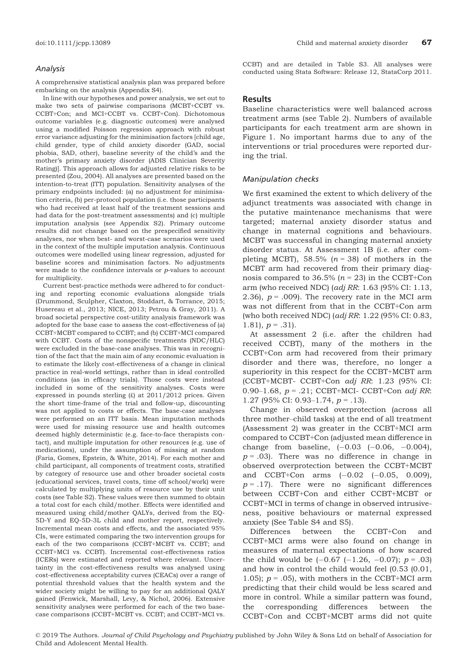A comprehensive statistical analysis plan was prepared before embarking on the analysis (Appendix S4).

In line with our hypotheses and power analysis, we set out to make two sets of pairwise comparisons (MCBT+CCBT vs. CCBT+Con; and MCI+CCBT vs. CCBT+Con). Dichotomous outcome variables (e.g. diagnostic outcomes) were analysed using a modified Poisson regression approach with robust error variance adjusting for the minimisation factors [child age, child gender, type of child anxiety disorder (GAD, social phobia, SAD, other), baseline severity of the child's and the mother's primary anxiety disorder (ADIS Clinician Severity Rating)]. This approach allows for adjusted relative risks to be presented (Zou, 2004). All analyses are presented based on the intention-to-treat (ITT) population. Sensitivity analyses of the primary endpoints included: (a) no adjustment for minimisation criteria, (b) per-protocol population (i.e. those participants who had received at least half of the treatment sessions and had data for the post-treatment assessments) and (c) multiple imputation analysis (see Appendix S2). Primary outcome results did not change based on the prespecified sensitivity analyses, nor when best- and worst-case scenarios were used in the context of the multiple imputation analysis. Continuous outcomes were modelled using linear regression, adjusted for baseline scores and minimisation factors. No adjustments were made to the confidence intervals or p-values to account for multiplicity.

Current best-practice methods were adhered to for conducting and reporting economic evaluations alongside trials (Drummond, Sculpher, Claxton, Stoddart, & Torrance, 2015; Husereau et al., 2013; NICE, 2013; Petrou & Gray, 2011). A broad societal perspective cost-utility analysis framework was adopted for the base case to assess the cost-effectiveness of (a) CCBT+MCBT compared to CCBT; and (b) CCBT+MCI compared with CCBT. Costs of the nonspecific treatments (NDC/HLC) were excluded in the base-case analyses. This was in recognition of the fact that the main aim of any economic evaluation is to estimate the likely cost-effectiveness of a change in clinical practice in real-world settings, rather than in ideal controlled conditions (as in efficacy trials). Those costs were instead included in some of the sensitivity analyses. Costs were expressed in pounds sterling  $(f)$  at 2011/2012 prices. Given the short time-frame of the trial and follow-up, discounting was not applied to costs or effects. The base-case analyses were performed on an ITT basis. Mean imputation methods were used for missing resource use and health outcomes deemed highly deterministic (e.g. face-to-face therapists contact), and multiple imputation for other resources (e.g. use of medications), under the assumption of missing at random (Faria, Gomes, Epstein, & White, 2014). For each mother and child participant, all components of treatment costs, stratified by category of resource use and other broader societal costs (educational services, travel costs, time off school/work) were calculated by multiplying units of resource use by their unit costs (see Table S2). These values were then summed to obtain a total cost for each child/mother. Effects were identified and measured using child/mother QALYs, derived from the EQ-5D-Y and EQ-5D-3L child and mother report, respectively. Incremental mean costs and effects, and the associated 95% CIs, were estimated comparing the two intervention groups for each of the two comparisons (CCBT+MCBT vs. CCBT; and CCBT+MCI vs. CCBT). Incremental cost-effectiveness ratios (ICERs) were estimated and reported where relevant. Uncertainty in the cost-effectiveness results was analysed using cost-effectiveness acceptability curves (CEACs) over a range of potential threshold values that the health system and the wider society might be willing to pay for an additional QALY gained (Fenwick, Marshall, Levy, & Nichol, 2006). Extensive sensitivity analyses were performed for each of the two basecase comparisons (CCBT+MCBT vs. CCBT; and CCBT+MCI vs.

CCBT) and are detailed in Table S3. All analyses were conducted using Stata Software: Release 12, StataCorp 2011.

# **Results**

Baseline characteristics were well balanced across treatment arms (see Table 2). Numbers of available participants for each treatment arm are shown in Figure 1. No important harms due to any of the interventions or trial procedures were reported during the trial.

## Manipulation checks

We first examined the extent to which delivery of the adjunct treatments was associated with change in the putative maintenance mechanisms that were targeted; maternal anxiety disorder status and change in maternal cognitions and behaviours. MCBT was successful in changing maternal anxiety disorder status. At Assessment 1B (i.e. after completing MCBT), 58.5%  $(n = 38)$  of mothers in the MCBT arm had recovered from their primary diagnosis compared to 36.5% ( $n = 23$ ) in the CCBT+Con arm (who received NDC) (adj RR: 1.63 (95% CI: 1.13, 2.36),  $p = .009$ . The recovery rate in the MCI arm was not different from that in the CCBT+Con arm (who both received NDC) (adj RR: 1.22 (95% CI: 0.83, 1.81),  $p = .31$ .

At assessment 2 (i.e. after the children had received CCBT), many of the mothers in the CCBT+Con arm had recovered from their primary disorder and there was, therefore, no longer a superiority in this respect for the CCBT+MCBT arm (CCBT+MCBT- CCBT+Con adj RR: 1.23 (95% CI: 0.90–1.68,  $p = .21$ ; CCBT+MCI- CCBT+Con *adj RR*: 1.27 (95% CI: 0.93–1.74,  $p = .13$ ).

Change in observed overprotection (across all three mother–child tasks) at the end of all treatment (Assessment 2) was greater in the CCBT+MCI arm compared to CCBT+Con (adjusted mean difference in change from baseline,  $(-0.03 \ (-0.06, \ -0.004),$  $p = .03$ ). There was no difference in change in observed overprotection between the CCBT+MCBT and CCBT+Con arms  $(-0.02 \quad (-0.05, \quad 0.009))$ ,  $p = .17$ ). There were no significant differences between CCBT+Con and either CCBT+MCBT or CCBT+MCI in terms of change in observed intrusiveness, positive behaviours or maternal expressed anxiety (See Table S4 and S5).

Differences between the CCBT+Con and CCBT+MCI arms were also found on change in measures of maternal expectations of how scared the child would be  $(-0.67 \ (-1.26, -0.07); p = .03)$ and how in control the child would feel (0.53 (0.01, 1.05);  $p = .05$ , with mothers in the CCBT+MCI arm predicting that their child would be less scared and more in control. While a similar pattern was found, the corresponding differences between the CCBT+Con and CCBT+MCBT arms did not quite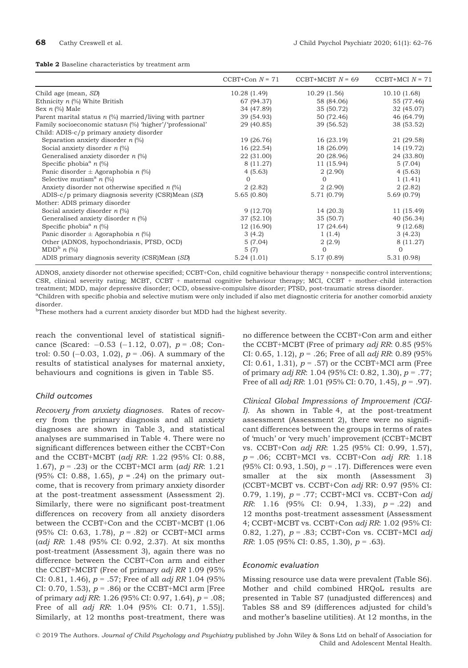|  |  |  | Table 2 Baseline characteristics by treatment arm |  |  |  |
|--|--|--|---------------------------------------------------|--|--|--|
|--|--|--|---------------------------------------------------|--|--|--|

|                                                                                                       | $CCBT+Con N = 71$ | CCBT+MCBT $N = 69$ | CCBT+MCI $N = 71$ |
|-------------------------------------------------------------------------------------------------------|-------------------|--------------------|-------------------|
| Child age (mean, SD)                                                                                  | 10.28(1.49)       | 10.29(1.56)        | 10.10(1.68)       |
| Ethnicity $n$ (%) White British                                                                       | 67 (94.37)        | 58 (84.06)         | 55 (77.46)        |
| Sex $n$ (%) Male                                                                                      | 34 (47.89)        | 35 (50.72)         | 32 (45.07)        |
| Parent marital status $n$ (%) married/living with partner                                             | 39 (54.93)        | 50 (72.46)         | 46 (64.79)        |
| Family socioeconomic status n (%) 'higher'/'professional'<br>Child: ADIS-c/p primary anxiety disorder | 29 (40.85)        | 39 (56.52)         | 38 (53.52)        |
| Separation anxiety disorder $n$ (%)                                                                   | 19 (26.76)        | 16 (23.19)         | 21 (29.58)        |
| Social anxiety disorder $n$ (%)                                                                       | 16 (22.54)        | 18 (26.09)         | 14 (19.72)        |
| Generalised anxiety disorder $n$ (%)                                                                  | 22 (31.00)        | 20 (28.96)         | 24 (33.80)        |
| Specific phobia <sup>a</sup> $n$ (%)                                                                  | 8 (11.27)         | 11 (15.94)         | 5(7.04)           |
| Panic disorder $\pm$ Agoraphobia <i>n</i> (%)                                                         | 4(5.63)           | 2(2.90)            | 4(5.63)           |
| Selective mutism <sup>a</sup> $n$ (%)                                                                 | $\Omega$          | $\mathbf{0}$       | 1(1.41)           |
| Anxiety disorder not otherwise specified $n$ (%)                                                      | 2(2.82)           | 2(2.90)            | 2(2.82)           |
| ADIS-c/p primary diagnosis severity (CSR)Mean (SD)                                                    | 5.65(0.80)        | 5.71 (0.79)        | 5.69(0.79)        |
| Mother: ADIS primary disorder                                                                         |                   |                    |                   |
| Social anxiety disorder $n$ (%)                                                                       | 9(12.70)          | 14(20.3)           | 11 (15.49)        |
| Generalised anxiety disorder $n$ (%)                                                                  | 37 (52.10)        | 35(50.7)           | 40 (56.34)        |
| Specific phobia <sup>a</sup> $n$ (%)                                                                  | 12 (16.90)        | 17 (24.64)         | 9(12.68)          |
| Panic disorder $\pm$ Agoraphobia <i>n</i> (%)                                                         | 3(4.2)            | 1(1.4)             | 3(4.23)           |
| Other (ADNOS, hypochondriasis, PTSD, OCD)                                                             | 5(7.04)           | 2(2.9)             | 8 (11.27)         |
| MDD <sup>b</sup> $n$ (%)                                                                              | 5(7)              | $\Omega$           | $\Omega$          |
| ADIS primary diagnosis severity (CSR)Mean (SD)                                                        | 5.24(1.01)        | 5.17 (0.89)        | 5.31 (0.98)       |

ADNOS, anxiety disorder not otherwise specified; CCBT+Con, child cognitive behaviour therapy + nonspecific control interventions; CSR, clinical severity rating; MCBT, CCBT + maternal cognitive behaviour therapy; MCI, CCBT + mother–child interaction treatment; MDD, major depressive disorder; OCD, obsessive-compulsive disorder; PTSD, post-traumatic stress disorder. <sup>a</sup>Children with specific phobia and selective mutism were only included if also met diagnostic criteria for another comorbid anxiety disorder.

<sup>b</sup>These mothers had a current anxiety disorder but MDD had the highest severity.

reach the conventional level of statistical significance (Scared:  $-0.53$  ( $-1.12$ , 0.07),  $p = .08$ ; Control: 0.50 (-0.03, 1.02),  $p = .06$ ). A summary of the results of statistical analyses for maternal anxiety, behaviours and cognitions is given in Table S5.

# Child outcomes

Recovery from anxiety diagnoses. Rates of recovery from the primary diagnosis and all anxiety diagnoses are shown in Table 3, and statistical analyses are summarised in Table 4. There were no significant differences between either the CCBT+Con and the CCBT+MCBT (adj RR: 1.22 (95% CI: 0.88, 1.67),  $p = .23$  or the CCBT+MCI arm (*adj RR*: 1.21 (95% CI: 0.88, 1.65),  $p = .24$  on the primary outcome, that is recovery from primary anxiety disorder at the post-treatment assessment (Assessment 2). Similarly, there were no significant post-treatment differences on recovery from all anxiety disorders between the CCBT+Con and the CCBT+MCBT (1.06 (95% CI: 0.63, 1.78),  $p = .82$  or CCBT+MCI arms (adj RR: 1.48 (95% CI: 0.92, 2.37). At six months post-treatment (Assessment 3), again there was no difference between the CCBT+Con arm and either the CCBT+MCBT (Free of primary adj RR 1.09 (95% CI: 0.81, 1.46),  $p = .57$ ; Free of all *adj RR* 1.04 (95%) CI: 0.70, 1.53),  $p = .86$  or the CCBT+MCI arm [Free of primary *adj RR*: 1.26 (95% CI: 0.97, 1.64),  $p = .08$ ; Free of all *adj RR*: 1.04 (95% CI: 0.71, 1.55)]. Similarly, at 12 months post-treatment, there was

no difference between the CCBT+Con arm and either the CCBT+MCBT (Free of primary adj RR: 0.85 (95% CI: 0.65, 1.12),  $p = 0.26$ ; Free of all *adj RR*: 0.89 (95%) CI: 0.61, 1.31),  $p = .57$  or the CCBT+MCI arm (Free of primary *adj RR*: 1.04 (95% CI: 0.82, 1.30),  $p = .77$ ; Free of all *adj RR*: 1.01 (95% CI: 0.70, 1.45),  $p = .97$ .

Clinical Global Impressions of Improvement (CGI-I). As shown in Table 4, at the post-treatment assessment (Assessment 2), there were no significant differences between the groups in terms of rates of 'much' or 'very much' improvement (CCBT+MCBT vs. CCBT+Con adj RR: 1.25 (95% CI: 0.99, 1.57),  $p = .06$ ; CCBT+MCI vs. CCBT+Con adj RR: 1.18 (95% CI: 0.93, 1.50),  $p = .17$ ). Differences were even smaller at the six month (Assessment 3) (CCBT+MCBT vs. CCBT+Con adj RR: 0.97 (95% CI: 0.79, 1.19),  $p = .77$ ; CCBT+MCI vs. CCBT+Con *adj* RR: 1.16 (95% CI: 0.94, 1.33),  $p = .22$ ) and 12 months post-treatment assessment (Assessment 4; CCBT+MCBT vs. CCBT+Con adj RR: 1.02 (95% CI: 0.82, 1.27),  $p = .83$ ; CCBT+Con vs. CCBT+MCI *adj* RR: 1.05 (95% CI: 0.85, 1.30),  $p = .63$ ).

# Economic evaluation

Missing resource use data were prevalent (Table S6). Mother and child combined HRQoL results are presented in Table S7 (unadjusted differences) and Tables S8 and S9 (differences adjusted for child's and mother's baseline utilities). At 12 months, in the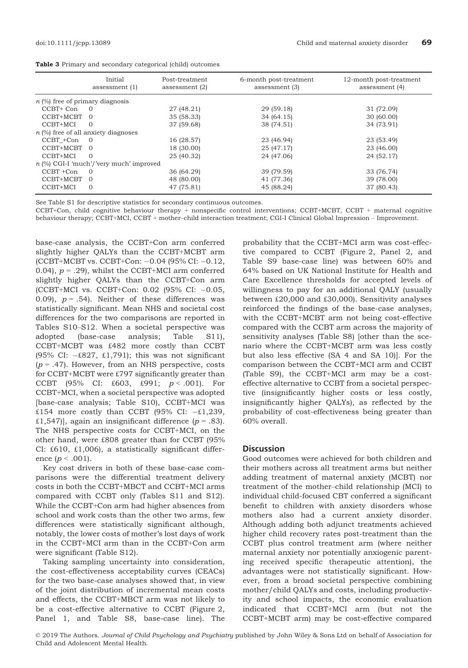|  |  |  |  |  | <b>Table 3</b> Primary and secondary categorical (child) outcomes |  |  |
|--|--|--|--|--|-------------------------------------------------------------------|--|--|
|--|--|--|--|--|-------------------------------------------------------------------|--|--|

|                                   | Initial<br>assessment $(1)$               | Post-treatment<br>assessment $(2)$ | 6-month post-treatment<br>assessment (3) | 12-month post-treatment<br>assessment (4) |
|-----------------------------------|-------------------------------------------|------------------------------------|------------------------------------------|-------------------------------------------|
| $n$ (%) free of primary diagnosis |                                           |                                    |                                          |                                           |
| CCBT+ Con                         | $\overline{0}$                            | 27 (48.21)                         | 29 (59.18)                               | 31 (72.09)                                |
| CCBT+MCBT 0                       |                                           | 35 (58.33)                         | 34(64.15)                                | 30 (60.00)                                |
| CCBT+MCI                          | $\Omega$                                  | 37 (59.68)                         | 38 (74.51)                               | 34 (73.91)                                |
|                                   | $n$ (%) free of all anxiety diagnoses     |                                    |                                          |                                           |
| CCBT +Con                         | - 0                                       | 16 (28.57)                         | 23 (46.94)                               | 23 (53.49)                                |
| CCBT+MCBT 0                       |                                           | 18 (30.00)                         | 25 (47.17)                               | 23 (46.00)                                |
| CCBT+MCI                          | $\Omega$                                  | 25 (40.32)                         | 24 (47.06)                               | 24 (52.17)                                |
|                                   | $n$ (%) CGI-I 'much'/'very much' improved |                                    |                                          |                                           |
| CCBT +Con                         | $\Omega$                                  | 36 (64.29)                         | 39 (79.59)                               | 33 (76.74)                                |
| CCBT+MCBT                         | - 0                                       | 48 (80.00)                         | 41 (77.36)                               | 39 (78.00)                                |
| CCBT+MCI                          | $\overline{0}$                            | 47 (75.81)                         | 45 (88.24)                               | 37 (80.43)                                |

See Table S1 for descriptive statistics for secondary continuous outcomes.

CCBT+Con, child cognitive behaviour therapy + nonspecific control interventions; CCBT+MCBT, CCBT + maternal cognitive behaviour therapy; CCBT+MCI, CCBT + mother–child interaction treatment; CGI-I Clinical Global Impression – Improvement.

base-case analysis, the CCBT+Con arm conferred slightly higher QALYs than the CCBT+MCBT arm  $(CCBT+MCBT vs. CCBT+Con: -0.04 (95\% CI: -0.12,$ 0.04),  $p = .29$ , whilst the CCBT+MCI arm conferred slightly higher QALYs than the CCBT+Con arm  $(CCBT+MCI$  vs.  $CCBT+Con: 0.02$   $(95\% CI: -0.05,$ 0.09),  $p = .54$ ). Neither of these differences was statistically significant. Mean NHS and societal cost differences for the two comparisons are reported in Tables S10–S12. When a societal perspective was adopted (base-case analysis; Table S11), CCBT+MCBT was £482 more costly than CCBT (95% CI:  $-£827, £1,791$ ); this was not significant  $(p = .47)$ . However, from an NHS perspective, costs for CCBT+MCBT were £797 significantly greater than CCBT (95% CI: £603, £991;  $p < .001$ ). For CCBT+MCI, when a societal perspective was adopted [base-case analysis; Table S10), CCBT+MCI was £154 more costly than CCBT  $(95\% \text{ CI: } -\text{\textsterling}1,239,$ £1,547)], again an insignificant difference ( $p = .83$ ). The NHS perspective costs for CCBT+MCI, on the other hand, were £808 greater than for CCBT (95% CI: £610, £1,006), a statistically significant difference  $(p < .001)$ .

Key cost drivers in both of these base-case comparisons were the differential treatment delivery costs in both the CCBT+MBCT and CCBT+MCI arms compared with CCBT only (Tables S11 and S12). While the CCBT+Con arm had higher absences from school and work costs than the other two arms, few differences were statistically significant although, notably, the lower costs of mother's lost days of work in the CCBT+MCI arm than in the CCBT+Con arm were significant (Table S12).

Taking sampling uncertainty into consideration, the cost-effectiveness acceptability curves (CEACs) for the two base-case analyses showed that, in view of the joint distribution of incremental mean costs and effects, the CCBT+MBCT arm was not likely to be a cost-effective alternative to CCBT (Figure 2, Panel 1, and Table S8, base-case line). The

probability that the CCBT+MCI arm was cost-effective compared to CCBT (Figure 2, Panel 2, and Table S9 base-case line) was between 60% and 64% based on UK National Institute for Health and Care Excellence thresholds for accepted levels of willingness to pay for an additional QALY (usually between £20,000 and £30,000). Sensitivity analyses reinforced the findings of the base-case analyses, with the CCBT+MCBT arm not being cost-effective compared with the CCBT arm across the majority of sensitivity analyses (Table S8) [other than the scenario where the CCBT+MCBT arm was less costly but also less effective (SA 4 and SA 10)]. For the comparison between the CCBT+MCI arm and CCBT (Table S9), the CCBT+MCI arm may be a costeffective alternative to CCBT from a societal perspective (insignificantly higher costs or less costly, insignificantly higher QALYs), as reflected by the probability of cost-effectiveness being greater than 60% overall.

# **Discussion**

Good outcomes were achieved for both children and their mothers across all treatment arms but neither adding treatment of maternal anxiety (MCBT) nor treatment of the mother–child relationship (MCI) to individual child-focused CBT conferred a significant benefit to children with anxiety disorders whose mothers also had a current anxiety disorder. Although adding both adjunct treatments achieved higher child recovery rates post-treatment than the CCBT plus control treatment arm (where neither maternal anxiety nor potentially anxiogenic parenting received specific therapeutic attention), the advantages were not statistically significant. However, from a broad societal perspective combining mother/child QALYs and costs, including productivity and school impacts, the economic evaluation indicated that CCBT+MCI arm (but not the CCBT+MCBT arm) may be cost-effective compared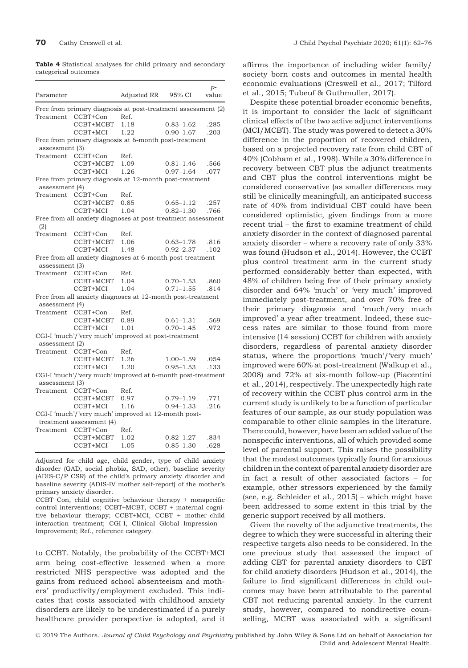Table 4 Statistical analyses for child primary and secondary categorical outcomes

| Parameter      |                                                              | Adjusted RR | 95% CI        | $p-$<br>value |
|----------------|--------------------------------------------------------------|-------------|---------------|---------------|
|                | Free from primary diagnosis at post-treatment assessment (2) |             |               |               |
|                | Treatment CCBT+Con                                           | Ref.        |               |               |
|                | CCBT+MCBT                                                    | 1.18        | $0.83 - 1.62$ | .285          |
|                | CCBT+MCI                                                     | 1.22        | $0.90 - 1.67$ | .203          |
|                | Free from primary diagnosis at 6-month post-treatment        |             |               |               |
| assessment (3) |                                                              |             |               |               |
|                | Treatment CCBT+Con                                           | Ref.        |               |               |
|                | CCBT+MCBT                                                    | 1.09        | $0.81 - 1.46$ | .566          |
|                | CCBT+MCI                                                     | 1.26        | $0.97 - 1.64$ | .077          |
|                | Free from primary diagnosis at 12-month post-treatment       |             |               |               |
| assessment (4) |                                                              |             |               |               |
|                | Treatment CCBT+Con                                           | Ref.        |               |               |
|                | CCBT+MCBT                                                    | 0.85        | $0.65 - 1.12$ | .257          |
|                | CCBT+MCI                                                     | 1.04        | $0.82 - 1.30$ | .766          |
| (2)            | Free from all anxiety diagnoses at post-treatment assessment |             |               |               |
| Treatment      | CCBT+Con                                                     | Ref.        |               |               |
|                | CCBT+MCBT                                                    | 1.06        | $0.63 - 1.78$ | .816          |
|                | CCBT+MCI                                                     | 1.48        | $0.92 - 2.37$ | .102          |
|                | Free from all anxiety diagnoses at 6-month post-treatment    |             |               |               |
| assessment (3) |                                                              |             |               |               |
| Treatment      | CCBT+Con                                                     | Ref.        |               |               |
|                | CCBT+MCBT                                                    | 1.04        | $0.70 - 1.53$ | .860          |
|                | CCBT+MCI                                                     | 1.04        | $0.71 - 1.55$ | .814          |
|                | Free from all anxiety diagnoses at 12-month post-treatment   |             |               |               |
|                |                                                              |             |               |               |
| assessment (4) | Treatment CCBT+Con                                           | Ref.        |               |               |
|                | CCBT+MCBT                                                    | 0.89        |               |               |
|                |                                                              |             | $0.61 - 1.31$ | .569          |
|                | CCBT+MCI                                                     | 1.01        | $0.70 - 1.45$ | .972          |
|                | CGI-I 'much'/'very much' improved at post-treatment          |             |               |               |
| assessment (2) |                                                              |             |               |               |
|                | Treatment CCBT+Con                                           | Ref.        |               |               |
|                | CCBT+MCBT                                                    | 1.26        | $1.00 - 1.59$ | .054          |
|                | CCBT+MCI                                                     | 1.20        | $0.95 - 1.53$ | .133          |
|                | CGI-I 'much'/'very much' improved at 6-month post-treatment  |             |               |               |
| assessment (3) |                                                              |             |               |               |
|                | Treatment CCBT+Con                                           | Ref.        |               |               |
|                | CCBT+MCBT                                                    | 0.97        | $0.79 - 1.19$ | .771          |
|                | CCBT+MCI                                                     | 1.16        | $0.94 - 1.33$ | .216          |
|                | CGI-I 'much'/'very much' improved at 12-month post-          |             |               |               |
|                | treatment assessment (4)                                     |             |               |               |
|                | Treatment CCBT+Con                                           | Ref.        |               |               |
|                | CCBT+MCBT                                                    | 1.02        | $0.82 - 1.27$ | .834          |
|                | CCBT+MCI                                                     | 1.05        | $0.85 - 1.30$ | .628          |

Adjusted for child age, child gender, type of child anxiety disorder (GAD, social phobia, SAD, other), baseline severity (ADIS-C/P CSR) of the child's primary anxiety disorder and baseline severity (ADIS-IV mother self-report) of the mother's primary anxiety disorder.

CCBT+Con, child cognitive behaviour therapy + nonspecific control interventions; CCBT+MCBT, CCBT + maternal cognitive behaviour therapy; CCBT+MCI, CCBT + mother–child interaction treatment; CGI-I, Clinical Global Impression – Improvement; Ref., reference category.

to CCBT. Notably, the probability of the CCBT+MCI arm being cost-effective lessened when a more restricted NHS perspective was adopted and the gains from reduced school absenteeism and mothers' productivity/employment excluded. This indicates that costs associated with childhood anxiety disorders are likely to be underestimated if a purely healthcare provider perspective is adopted, and it

affirms the importance of including wider family/ society born costs and outcomes in mental health economic evaluations (Creswell et al., 2017; Tilford et al., 2015; Tubeuf & Guthmuller, 2017).

Despite these potential broader economic benefits, it is important to consider the lack of significant clinical effects of the two active adjunct interventions (MCI/MCBT). The study was powered to detect a 30% difference in the proportion of recovered children, based on a projected recovery rate from child CBT of 40% (Cobham et al., 1998). While a 30% difference in recovery between CBT plus the adjunct treatments and CBT plus the control interventions might be considered conservative (as smaller differences may still be clinically meaningful), an anticipated success rate of 40% from individual CBT could have been considered optimistic, given findings from a more recent trial – the first to examine treatment of child anxiety disorder in the context of diagnosed parental anxiety disorder – where a recovery rate of only 33% was found (Hudson et al., 2014). However, the CCBT plus control treatment arm in the current study performed considerably better than expected, with 48% of children being free of their primary anxiety disorder and 64% 'much' or 'very much' improved immediately post-treatment, and over 70% free of their primary diagnosis and 'much/very much improved' a year after treatment. Indeed, these success rates are similar to those found from more intensive (14 session) CCBT for children with anxiety disorders, regardless of parental anxiety disorder status, where the proportions 'much'/'very much' improved were 60% at post-treatment (Walkup et al., 2008) and 72% at six-month follow-up (Piacentini et al., 2014), respectively. The unexpectedly high rate of recovery within the CCBT plus control arm in the current study is unlikely to be a function of particular features of our sample, as our study population was comparable to other clinic samples in the literature. There could, however, have been an added value of the nonspecific interventions, all of which provided some level of parental support. This raises the possibility that the modest outcomes typically found for anxious children in the context of parental anxiety disorder are in fact a result of other associated factors – for example, other stressors experienced by the family (see, e.g. Schleider et al., 2015) – which might have been addressed to some extent in this trial by the generic support received by all mothers.

Given the novelty of the adjunctive treatments, the degree to which they were successful in altering their respective targets also needs to be considered. In the one previous study that assessed the impact of adding CBT for parental anxiety disorders to CBT for child anxiety disorders (Hudson et al., 2014), the failure to find significant differences in child outcomes may have been attributable to the parental CBT not reducing parental anxiety. In the current study, however, compared to nondirective counselling, MCBT was associated with a significant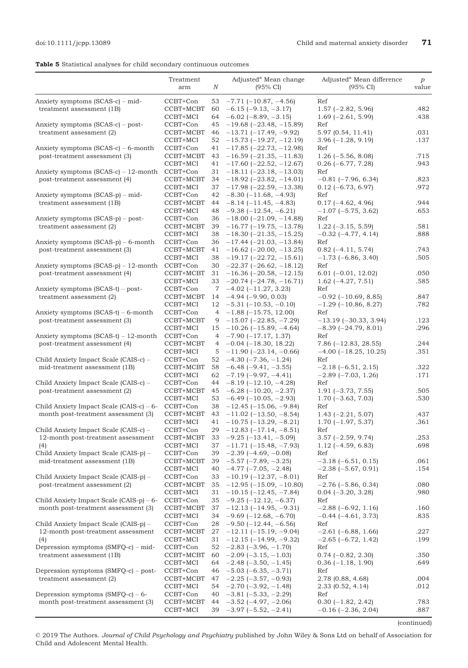#### Table 5 Statistical analyses for child secondary continuous outcomes

|                                                                         | Treatment<br>arm      | $\boldsymbol{N}$ | Adjusted <sup>a</sup> Mean change<br>(95% CI)                        | Adjusted <sup>a</sup> Mean difference<br>$(95\% \text{ CI})$ | р<br>value   |
|-------------------------------------------------------------------------|-----------------------|------------------|----------------------------------------------------------------------|--------------------------------------------------------------|--------------|
| Anxiety symptoms (SCAS-c) - mid-                                        | CCBT+Con              |                  | $53 -7.71 (-10.87, -4.56)$                                           | Ref                                                          |              |
| treatment assessment (1B)                                               | CCBT+MCBT             | 60               | $-6.15$ ( $-9.13$ , $-3.17$ )                                        | $1.57$ (-2.82, 5.96)                                         | .482         |
|                                                                         | CCBT+MCI              | 64               | $-6.02$ ( $-8.89, -3.15$ )                                           | $1.69$ (-2.61, 5.99)                                         | .438         |
| Anxiety symptoms (SCAS-c) – post-                                       | CCBT+Con              | 45               | $-19.68$ ( $-23.48$ , $-15.89$ )                                     | Ref                                                          |              |
| treatment assessment (2)                                                | CCBT+MCBT             | 46               | $-13.71$ ( $-17.49$ , $-9.92$ )                                      | 5.97 (0.54, 11.41)                                           | .031         |
| Anxiety symptoms $(SCAS-c) - 6$ -month                                  | CCBT+MCI<br>CCBT+Con  | 52<br>41         | $-15.73$ ( $-19.27$ , $-12.19$ )<br>$-17.85$ ( $-22.73$ , $-12.98$ ) | $3.96(-1.28, 9.19)$<br>Ref                                   | .137         |
| post-treatment assessment (3)                                           | CCBT+MCBT             | 43               | $-16.59$ ( $-21.35$ , $-11.83$ )                                     | $1.26$ (-5.56, 8.08)                                         | .715         |
|                                                                         | CCBT+MCI              | 41               | $-17.60$ ( $-22.52$ , $-12.67$ )                                     | $0.26$ (-6.77, 7.28)                                         | .943         |
| Anxiety symptoms $(SCAS-c) - 12$ -month                                 | CCBT+Con              | 31               | $-18.11$ ( $-23.18$ , $-13.03$ )                                     | Ref                                                          |              |
| post-treatment assessment (4)                                           | CCBT+MCBT             | 34               | $-18.92$ ( $-23.82$ , $-14.01$ )                                     | $-0.81$ ( $-7.96$ , 6.34)                                    | .823         |
|                                                                         | CCBT+MCI              | 37               | $-17.98$ ( $-22.59$ , $-13.38$ )                                     | $0.12$ (-6.73, 6.97)                                         | .972         |
| Anxiety symptoms (SCAS-p) – mid-                                        | CCBT+Con              | 42               | $-8.30$ ( $-11.68$ , $-4.93$ )                                       | Ref                                                          |              |
| treatment assessment (1B)                                               | CCBT+MCBT             | 44               | $-8.14(-11.45, -4.83)$                                               | $0.17$ (-4.62, 4.96)                                         | .944         |
|                                                                         | CCBT+MCI              | 48               | $-9.38(-12.54, -6.21)$                                               | $-1.07$ (-5.75, 3.62)                                        | .653         |
| Anxiety symptoms (SCAS-p) – post-                                       | CCBT+Con              | 36               | $-18.00$ ( $-21.09$ , $-14.88$ )                                     | Ref                                                          |              |
| treatment assessment (2)                                                | CCBT+MCBT             | 39               | $-16.77$ ( $-19.75$ , $-13.78$ )                                     | $1.22$ (-3.15, 5.59)                                         | .581         |
|                                                                         | CCBT+MCI<br>CCBT+Con  | 38               | $-18.30$ ( $-21.35$ , $-15.25$ )                                     | $-0.32$ ( $-4.77, 4.14$ )<br>Ref                             | .888         |
| Anxiety symptoms $(SCAS-p) - 6$ -month<br>post-treatment assessment (3) | CCBT+MCBT             | 36<br>41         | $-17.44$ ( $-21.03$ , $-13.84$ )<br>$-16.62$ ( $-20.00, -13.25$ )    | $0.82(-4.11, 5.74)$                                          | .743         |
|                                                                         | CCBT+MCI              | 38               | $-19.17$ ( $-22.72$ , $-15.61$ )                                     | $-1.73$ (-6.86, 3.40)                                        | .505         |
| Anxiety symptoms $(SCAS-p) - 12$ -month                                 | CCBT+Con              | 30               | $-22.37$ ( $-26.62$ , $-18.12$ )                                     | Ref                                                          |              |
| post-treatment assessment (4)                                           | CCBT+MCBT             | 31               | $-16.36$ ( $-20.58$ , $-12.15$ )                                     | $6.01$ (-0.01, 12.02)                                        | .050         |
|                                                                         | CCBT+MCI              | 33               | $-20.74$ ( $-24.78$ , $-16.71$ )                                     | $1.62$ (-4.27, 7.51)                                         | .585         |
| Anxiety symptoms (SCAS-t) – post-                                       | CCBT+Con              |                  | $7 -4.02 (-11.27, 3.23)$                                             | Ref                                                          |              |
| treatment assessment (2)                                                | CCBT+MCBT             | 14               | $-4.94$ ( $-9.90$ , 0.03)                                            | $-0.92$ ( $-10.69$ , 8.85)                                   | .847         |
|                                                                         | CCBT+MCI              | 12               | $-5.31$ ( $-10.53$ , $-0.10$ )                                       | $-1.29$ ( $-10.86$ , 8.27)                                   | .782         |
| Anxiety symptoms $(SCAS-t) - 6$ -month                                  | CCBT+Con              |                  | $-1.88(-15.75, 12.00)$                                               | Ref                                                          |              |
| post-treatment assessment (3)                                           | CCBT+MCBT             | 9                | $-15.07$ ( $-22.85$ , $-7.29$ )                                      | $-13.19$ ( $-30.33$ , 3.94)                                  | .123         |
|                                                                         | CCBT+MCI              | 15               | $-10.26$ ( $-15.89$ , $-4.64$ )                                      | $-8.39$ ( $-24.79$ , 8.01)                                   | .296         |
| Anxiety symptoms $(SCAS-t) - 12$ -month                                 | CCBT+Con              |                  | $-7.90(-17.17, 1.37)$                                                | Ref                                                          |              |
| post-treatment assessment (4)                                           | CCBT+MCBT             | 4                | $-0.04$ ( $-18.30$ , 18.22)                                          | $7.86$ ( $-12.83$ , 28.55)                                   | .244         |
| Child Anxiety Impact Scale (CAIS-c) -                                   | CCBT+MCI<br>CCBT+Con  | 5<br>52          | $-11.90$ ( $-23.14$ , $-0.66$ )<br>$-4.30$ ( $-7.36$ , $-1.24$ )     | $-4.00$ ( $-18.25$ , 10.25)<br>Ref                           | .351         |
| mid-treatment assessment (1B)                                           | CCBT+MCBT             | 58               | $-6.48$ ( $-9.41, -3.55$ )                                           | $-2.18$ ( $-6.51$ , 2.15)                                    | .322         |
|                                                                         | CCBT+MCI              | 62               | $-7.19(-9.97, -4.41)$                                                | $-2.89$ ( $-7.03$ , 1.26)                                    | .171         |
| Child Anxiety Impact Scale (CAIS-c) -                                   | CCBT+Con              | 44               | $-8.19(-12.10, -4.28)$                                               | Ref                                                          |              |
| post-treatment assessment (2)                                           | CCBT+MCBT             | 45               | $-6.28$ ( $-10.20, -2.37$ )                                          | $1.91 (-3.73, 7.55)$                                         | .505         |
|                                                                         | CCBT+MCI              | 53               | $-6.49$ ( $-10.05$ , $-2.93$ )                                       | $1.70$ (-3.63, 7.03)                                         | .530         |
| Child Anxiety Impact Scale (CAIS-c) - 6-                                | CCBT+Con              | 38               | $-12.45$ ( $-15.06$ , $-9.84$ )                                      | Ref                                                          |              |
| month post-treatment assessment (3)                                     | CCBT+MCBT             | 43               | $-11.02$ (-13.50, -8.54)                                             | $1.43$ (-2.21, 5.07)                                         | .437         |
|                                                                         | CCBT+MCI              | 41               | $-10.75$ ( $-13.29, -8.21$ )                                         | $1.70 (-1.97, 5.37)$                                         | .361         |
| Child Anxiety Impact Scale (CAIS-c) -                                   | CCBT+Con              | 29               | $-12.83(-17.14, -8.51)$                                              | Ref                                                          |              |
| 12-month post-treatment assessment<br>(4)                               | CCBT+MCBT             | 33<br>37         | $-9.25$ ( $-13.41, -5.09$ )<br>$-11.71(-15.48, -7.93)$               | $3.57$ (-2.59, 9.74)<br>$1.12$ (-4.59, 6.83)                 | .253<br>.698 |
| Child Anxiety Impact Scale (CAIS-p) -                                   | CCBT+MCI<br>CCBT+Con  | 39               | $-2.39$ ( $-4.69$ , $-0.08$ )                                        | Ref                                                          |              |
| mid-treatment assessment (1B)                                           | CCBT+MCBT             | 39               | $-5.57$ ( $-7.89$ , $-3.25$ )                                        | $-3.18$ ( $-6.51$ , 0.15)                                    | .061         |
|                                                                         | CCBT+MCI              | 40               | $-4.77$ ( $-7.05$ , $-2.48$ )                                        | $-2.38$ ( $-5.67$ , 0.91)                                    | .154         |
| Child Anxiety Impact Scale (CAIS-p) -                                   | CCBT+Con              | 33               | $-10.19$ ( $-12.37, -8.01$ )                                         | Ref                                                          |              |
| post-treatment assessment (2)                                           | CCBT+MCBT             | 35               | $-12.95$ ( $-15.09$ , $-10.80$ )                                     | $-2.76$ ( $-5.86$ , 0.34)                                    | .080         |
|                                                                         | CCBT+MCI              | 31               | $-10.15$ ( $-12.45$ , $-7.84$ )                                      | $0.04$ (-3.20, 3.28)                                         | .980         |
| Child Anxiety Impact Scale (CAIS-p) - 6-                                | CCBT+Con              | 35               | $-9.25$ ( $-12.12, -6.37$ )                                          | Ref                                                          |              |
| month post-treatment assessment (3)                                     | CCBT+MCBT             | 37               | $-12.13$ ( $-14.95$ , $-9.31$ )                                      | $-2.88(-6.92, 1.16)$                                         | .160         |
|                                                                         | CCBT+MCI              | 34               | $-9.69$ ( $-12.68$ , $-6.70$ )                                       | $-0.44$ ( $-4.61$ , 3.73)                                    | .835         |
| Child Anxiety Impact Scale (CAIS-p) -                                   | CCBT+Con              | 28               | $-9.50$ ( $-12.44$ , $-6.56$ )                                       | Ref                                                          |              |
| 12-month post-treatment assessment<br>(4)                               | CCBT+MCBT<br>CCBT+MCI | 27<br>31         | $-12.11$ (-15.19, -9.04)<br>$-12.15$ (-14.99, -9.32)                 | $-2.61$ ( $-6.88$ , 1.66)<br>$-2.65$ ( $-6.72$ , 1.42)       | .227<br>.199 |
| Depression symptoms (SMFQ-c) - mid-                                     | CCBT+Con              | 52               | $-2.83$ ( $-3.96$ , $-1.70$ )                                        | Ref                                                          |              |
| treatment assessment (1B)                                               | CCBT+MCBT             | 60               | $-2.09$ ( $-3.15$ , $-1.03$ )                                        | $0.74$ (-0.82, 2.30)                                         | .350         |
|                                                                         | CCBT+MCI              | 64               | $-2.48$ ( $-3.50$ , $-1.45$ )                                        | $0.36$ (-1.18, 1.90)                                         | .649         |
| Depression symptoms (SMFQ-c) – post-                                    | CCBT+Con              | 46               | $-5.03$ ( $-6.35, -3.71$ )                                           | Ref                                                          |              |
| treatment assessment (2)                                                | CCBT+MCBT             | 47               | $-2.25$ ( $-3.57$ , $-0.93$ )                                        | 2.78 (0.88, 4.68)                                            | .004         |
|                                                                         | CCBT+MCI              | 54               | $-2.70$ ( $-3.92$ , $-1.48$ )                                        | 2.33(0.52, 4.14)                                             | .012         |
| Depression symptoms $(SMFQ-c) - 6$ -                                    | CCBT+Con              | 40               | $-3.81$ ( $-5.33$ , $-2.29$ )                                        | Ref                                                          |              |
| month post-treatment assessment (3)                                     | CCBT+MCBT             | 44               | $-3.52$ ( $-4.97$ , $-2.06$ )                                        | $0.30$ (-1.82, 2.42)                                         | .783         |
|                                                                         | CCBT+MCI              |                  | $39 -3.97 (-5.52, -2.41)$                                            | $-0.16$ ( $-2.36$ , 2.04)                                    | .887         |

(continued)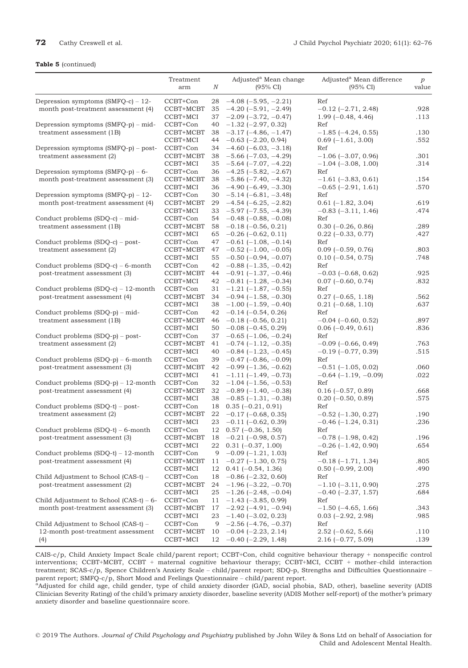|                                                                            | Treatment<br>arm      | N        | Adjusted <sup>a</sup> Mean change<br>$(95\% \text{ CI})$   | Adjusted <sup>a</sup> Mean difference<br>$(95\% \text{ CI})$ | p<br>value |
|----------------------------------------------------------------------------|-----------------------|----------|------------------------------------------------------------|--------------------------------------------------------------|------------|
|                                                                            |                       |          |                                                            |                                                              |            |
| Depression symptoms $(SMFO-c) - 12$ -                                      | CCBT+Con              | 28       | $-4.08$ ( $-5.95$ , $-2.21$ )                              | Ref                                                          |            |
| month post-treatment assessment (4)                                        | CCBT+MCBT             | 35       | $-4.20$ ( $-5.91, -2.49$ )                                 | $-0.12$ ( $-2.71$ , 2.48)                                    | .928       |
|                                                                            | CCBT+MCI              | 37       | $-2.09$ ( $-3.72$ , $-0.47$ )                              | $1.99(-0.48, 4.46)$                                          | .113       |
| Depression symptoms $(SMFQ-p)$ – mid-<br>treatment assessment (1B)         | CCBT+Con<br>CCBT+MCBT | 40<br>38 | $-1.32$ ( $-2.97, 0.32$ )<br>$-3.17$ ( $-4.86$ , $-1.47$ ) | Ref<br>$-1.85$ ( $-4.24$ , 0.55)                             | .130       |
|                                                                            | CCBT+MCI              | 44       | $-0.63$ ( $-2.20$ , 0.94)                                  | $0.69$ (-1.61, 3.00)                                         | .552       |
| Depression symptoms $(SMFQ-p)$ – post-                                     | CCBT+Con              | 34       | $-4.60$ ( $-6.03$ , $-3.18$ )                              | Ref                                                          |            |
| treatment assessment (2)                                                   | CCBT+MCBT             | 38       | $-5.66$ ( $-7.03$ , $-4.29$ )                              | $-1.06$ ( $-3.07$ , 0.96)                                    | .301       |
|                                                                            | CCBT+MCI              | 35       | $-5.64$ ( $-7.07, -4.22$ )                                 | $-1.04$ ( $-3.08$ , 1.00)                                    | .314       |
| Depression symptoms $(SMFQ-p) - 6$ -                                       | CCBT+Con              | 36       | $-4.25$ ( $-5.82$ , $-2.67$ )                              | Ref                                                          |            |
| month post-treatment assessment (3)                                        | CCBT+MCBT             | 38       | $-5.86$ ( $-7.40$ , $-4.32$ )                              | $-1.61$ (-3.83, 0.61)                                        | .154       |
|                                                                            | CCBT+MCI              | 36       | $-4.90$ ( $-6.49$ , $-3.30$ )                              | $-0.65$ ( $-2.91$ , 1.61)                                    | .570       |
| Depression symptoms $(SMFQ-p) - 12$ -                                      | CCBT+Con              | 30       | $-5.14(-6.81,-3.48)$                                       | Ref                                                          |            |
| month post-treatment assessment (4)                                        | CCBT+MCBT             | 29       | $-4.54$ ( $-6.25, -2.82$ )                                 | $0.61$ (-1.82, 3.04)                                         | .619       |
|                                                                            | CCBT+MCI              | 33       | $-5.97$ ( $-7.55$ , $-4.39$ )                              | $-0.83$ ( $-3.11$ , 1.46)                                    | .474       |
| Conduct problems $(SDQ-c)$ – mid-                                          | CCBT+Con              | 54       | $-0.48$ ( $-0.88$ , $-0.08$ )                              | Ref                                                          |            |
| treatment assessment (1B)                                                  | CCBT+MCBT             | 58       | $-0.18$ ( $-0.56$ , 0.21)                                  | $0.30$ (-0.26, 0.86)                                         | .289       |
|                                                                            | CCBT+MCI              | 65       | $-0.26$ ( $-0.62$ , 0.11)                                  | $0.22$ (-0.33, 0.77)                                         | .427       |
| Conduct problems (SDQ-c) - post-                                           | CCBT+Con              | 47       | $-0.61$ ( $-1.08$ , $-0.14$ )                              | Ref                                                          |            |
| treatment assessment (2)                                                   | CCBT+MCBT             | 47       | $-0.52$ ( $-1.00, -0.05$ )                                 | $0.09$ ( $-0.59$ , 0.76)                                     | .803       |
|                                                                            | CCBT+MCI              | 55       | $-0.50$ ( $-0.94$ , $-0.07$ )                              | $0.10$ (-0.54, 0.75)                                         | .748       |
| Conduct problems $(SDQ-c) - 6$ -month                                      | CCBT+Con              | 42       | $-0.88$ ( $-1.35$ , $-0.42$ )                              | Ref                                                          |            |
| post-treatment assessment (3)                                              | CCBT+MCBT             | 44       | $-0.91(-1.37, -0.46)$                                      | $-0.03$ ( $-0.68$ , 0.62)                                    | .925       |
|                                                                            | CCBT+MCI              | 42       | $-0.81$ ( $-1.28$ , $-0.34$ )                              | $0.07$ (-0.60, 0.74)                                         | .832       |
| Conduct problems $(SDO-c) - 12$ -month                                     | CCBT+Con              | 31       | $-1.21(-1.87, -0.55)$                                      | Ref                                                          |            |
| post-treatment assessment (4)                                              | CCBT+MCBT             | 34       | $-0.94$ ( $-1.58$ , $-0.30$ )                              | $0.27$ (-0.65, 1.18)                                         | .562       |
|                                                                            | CCBT+MCI              | 38       | $-1.00$ ( $-1.59$ , $-0.40$ )                              | $0.21$ (-0.68, 1.10)                                         | .637       |
| Conduct problems $(SDQ-p)$ – mid-                                          | CCBT+Con              | 42       | $-0.14$ ( $-0.54$ , 0.26)                                  | Ref                                                          |            |
| treatment assessment (1B)                                                  | CCBT+MCBT             | 46       | $-0.18$ ( $-0.56$ , 0.21)                                  | $-0.04$ ( $-0.60$ , 0.52)                                    | .897       |
| Conduct problems $(SDQ-p)$ – post-                                         | CCBT+MCI<br>CCBT+Con  | 50<br>37 | $-0.08$ ( $-0.45$ , 0.29)<br>$-0.65$ ( $-1.06$ , $-0.24$ ) | $0.06$ (-0.49, 0.61)<br>Ref                                  | .836       |
| treatment assessment (2)                                                   | CCBT+MCBT             | 41       | $-0.74$ ( $-1.12$ , $-0.35$ )                              | $-0.09$ ( $-0.66$ , 0.49)                                    | .763       |
|                                                                            | CCBT+MCI              | 40       | $-0.84$ ( $-1.23$ , $-0.45$ )                              | $-0.19$ ( $-0.77$ , 0.39)                                    | .515       |
| Conduct problems $(SDQ-p) - 6$ -month                                      | CCBT+Con              | 39       | $-0.47$ ( $-0.86$ , $-0.09$ )                              | Ref                                                          |            |
| post-treatment assessment (3)                                              | CCBT+MCBT             | 42       | $-0.99$ ( $-1.36$ , $-0.62$ )                              | $-0.51$ ( $-1.05$ , 0.02)                                    | .060       |
|                                                                            | CCBT+MCI              | 41       | $-1.11(-1.49, -0.73)$                                      | $-0.64$ ( $-1.19$ , $-0.09$ )                                | .022       |
| Conduct problems $(SDQ-p) - 12$ -month                                     | CCBT+Con              | 32       | $-1.04$ ( $-1.56$ , $-0.53$ )                              | Ref                                                          |            |
| post-treatment assessment (4)                                              | CCBT+MCBT             | 32       | $-0.89(-1.40,-0.38)$                                       | $0.16$ (-0.57, 0.89)                                         | .668       |
|                                                                            | CCBT+MCI              | 38       | $-0.85$ ( $-1.31, -0.38$ )                                 | $0.20$ (-0.50, 0.89)                                         | .575       |
| Conduct problems $(SDQ-t)$ – post-                                         | CCBT+Con              | 18       | $0.35(-0.21, 0.91)$                                        | Ref                                                          |            |
| treatment assessment (2)                                                   | CCBT+MCBT             | 22       | $-0.17$ ( $-0.68$ , 0.35)                                  | $-0.52$ ( $-1.30$ , 0.27)                                    | .190       |
|                                                                            | CCBT+MCI              | 23       | $-0.11$ ( $-0.62$ , 0.39)                                  | $-0.46$ ( $-1.24$ , 0.31)                                    | .236       |
| Conduct problems $(SDQ-t) - 6$ -month                                      | CCBT+Con              | 12       | $0.57$ (-0.36, 1.50)                                       | Ref                                                          |            |
| post-treatment assessment (3)                                              | CCBT+MCBT             | 18       | $-0.21$ ( $-0.98$ , 0.57)                                  | $-0.78$ ( $-1.98$ , 0.42)                                    | .196       |
|                                                                            | CCBT+MCI              | 22       | $0.31$ (-0.37, 1.00)                                       | $-0.26$ ( $-1.42$ , 0.90)                                    | .654       |
| Conduct problems $(SDQ-t) - 12$ -month                                     | CCBT+Con              | 9        | $-0.09$ ( $-1.21$ , 1.03)                                  | Ref                                                          |            |
| post-treatment assessment (4)                                              | CCBT+MCBT             | 11       | $-0.27$ ( $-1.30$ , 0.75)                                  | $-0.18$ ( $-1.71$ , 1.34)                                    | .805       |
|                                                                            | CCBT+MCI              | 12       | $0.41$ (-0.54, 1.36)                                       | $0.50$ (-0.99, 2.00)                                         | .490       |
| Child Adjustment to School (CAS-t) -                                       | CCBT+Con              | 18       | $-0.86$ ( $-2.32$ , 0.60)                                  | Ref                                                          |            |
| post-treatment assessment (2)                                              | CCBT+MCBT             | 24       | $-1.96$ ( $-3.22, -0.70$ )                                 | $-1.10$ (-3.11, 0.90)                                        | .275       |
|                                                                            | CCBT+MCI              | 25       | $-1.26$ ( $-2.48$ , $-0.04$ )                              | $-0.40$ ( $-2.37, 1.57$ )                                    | .684       |
| Child Adjustment to School $(CAS-t) - 6$ -                                 | CCBT+Con              | 11       | $-1.43$ ( $-3.85$ , 0.99)                                  | Ref                                                          |            |
| month post-treatment assessment (3)                                        | CCBT+MCBT             | 17       | $-2.92$ ( $-4.91$ , $-0.94$ )                              | $-1.50$ ( $-4.65$ , 1.66)                                    | .343       |
|                                                                            | CCBT+MCI              | 23       | $-1.40$ ( $-3.02$ , 0.23)                                  | $0.03$ (-2.92, 2.98)                                         | .985       |
| Child Adjustment to School (CAS-t) -<br>12-month post-treatment assessment | CCBT+Con<br>CCBT+MCBT | 9<br>10  | $-2.56$ ( $-4.76$ , $-0.37$ )<br>$-0.04$ ( $-2.23$ , 2.14) | Ref<br>$2.52(-0.62, 5.66)$                                   | .110       |
| (4)                                                                        | CCBT+MCI              | 12       | $-0.40$ ( $-2.29$ , 1.48)                                  | $2.16(-0.77, 5.09)$                                          | .139       |
|                                                                            |                       |          |                                                            |                                                              |            |

CAIS-c/p, Child Anxiety Impact Scale child/parent report; CCBT+Con, child cognitive behaviour therapy + nonspecific control interventions; CCBT+MCBT, CCBT + maternal cognitive behaviour therapy; CCBT+MCI, CCBT + mother–child interaction treatment; SCAS-c/p, Spence Children's Anxiety Scale – child/parent report; SDQ-p, Strengths and Difficulties Questionnaire – parent report; SMFQ-c/p, Short Mood and Feelings Questionnaire – child/parent report.

aAdjusted for child age, child gender, type of child anxiety disorder (GAD, social phobia, SAD, other), baseline severity (ADIS Clinician Severity Rating) of the child's primary anxiety disorder, baseline severity (ADIS Mother self-report) of the mother's primary anxiety disorder and baseline questionnaire score.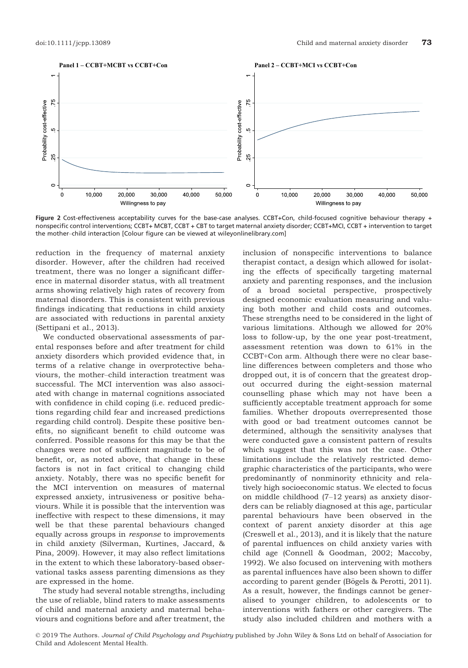

Figure 2 Cost-effectiveness acceptability curves for the base-case analyses. CCBT+Con, child-focused cognitive behaviour therapy + nonspecific control interventions; CCBT+ MCBT, CCBT + CBT to target maternal anxiety disorder; CCBT+MCI, CCBT + intervention to target the mother–child interaction [Colour figure can be viewed at [wileyonlinelibrary.com\]](www.wileyonlinelibrary.com)

reduction in the frequency of maternal anxiety disorder. However, after the children had received treatment, there was no longer a significant difference in maternal disorder status, with all treatment arms showing relatively high rates of recovery from maternal disorders. This is consistent with previous findings indicating that reductions in child anxiety are associated with reductions in parental anxiety (Settipani et al., 2013).

We conducted observational assessments of parental responses before and after treatment for child anxiety disorders which provided evidence that, in terms of a relative change in overprotective behaviours, the mother–child interaction treatment was successful. The MCI intervention was also associated with change in maternal cognitions associated with confidence in child coping (i.e. reduced predictions regarding child fear and increased predictions regarding child control). Despite these positive benefits, no significant benefit to child outcome was conferred. Possible reasons for this may be that the changes were not of sufficient magnitude to be of benefit, or, as noted above, that change in these factors is not in fact critical to changing child anxiety. Notably, there was no specific benefit for the MCI intervention on measures of maternal expressed anxiety, intrusiveness or positive behaviours. While it is possible that the intervention was ineffective with respect to these dimensions, it may well be that these parental behaviours changed equally across groups in response to improvements in child anxiety (Silverman, Kurtines, Jaccard, & Pina, 2009). However, it may also reflect limitations in the extent to which these laboratory-based observational tasks assess parenting dimensions as they are expressed in the home.

The study had several notable strengths, including the use of reliable, blind raters to make assessments of child and maternal anxiety and maternal behaviours and cognitions before and after treatment, the

inclusion of nonspecific interventions to balance therapist contact, a design which allowed for isolating the effects of specifically targeting maternal anxiety and parenting responses, and the inclusion of a broad societal perspective, prospectively designed economic evaluation measuring and valuing both mother and child costs and outcomes. These strengths need to be considered in the light of various limitations. Although we allowed for 20% loss to follow-up, by the one year post-treatment, assessment retention was down to 61% in the CCBT+Con arm. Although there were no clear baseline differences between completers and those who dropped out, it is of concern that the greatest dropout occurred during the eight-session maternal counselling phase which may not have been a sufficiently acceptable treatment approach for some families. Whether dropouts overrepresented those with good or bad treatment outcomes cannot be determined, although the sensitivity analyses that were conducted gave a consistent pattern of results which suggest that this was not the case. Other limitations include the relatively restricted demographic characteristics of the participants, who were predominantly of nonminority ethnicity and relatively high socioeconomic status. We elected to focus on middle childhood (7–12 years) as anxiety disorders can be reliably diagnosed at this age, particular parental behaviours have been observed in the context of parent anxiety disorder at this age (Creswell et al., 2013), and it is likely that the nature of parental influences on child anxiety varies with child age (Connell & Goodman, 2002; Maccoby, 1992). We also focused on intervening with mothers as parental influences have also been shown to differ according to parent gender (Bögels & Perotti, 2011). As a result, however, the findings cannot be generalised to younger children, to adolescents or to interventions with fathers or other caregivers. The study also included children and mothers with a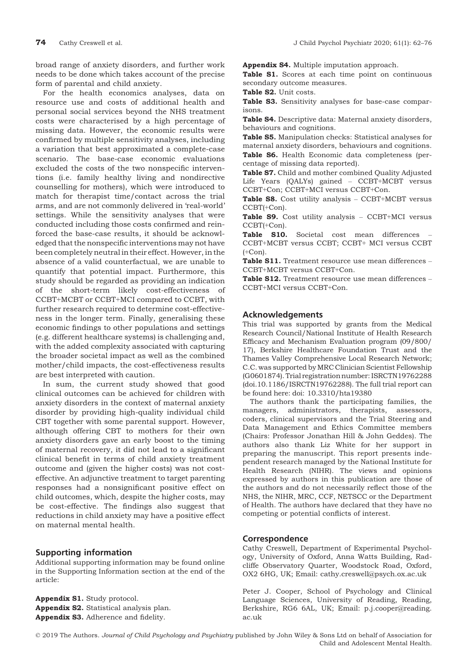broad range of anxiety disorders, and further work needs to be done which takes account of the precise form of parental and child anxiety.

For the health economics analyses, data on resource use and costs of additional health and personal social services beyond the NHS treatment costs were characterised by a high percentage of missing data. However, the economic results were confirmed by multiple sensitivity analyses, including a variation that best approximated a complete-case scenario. The base-case economic evaluations excluded the costs of the two nonspecific interventions (i.e. family healthy living and nondirective counselling for mothers), which were introduced to match for therapist time/contact across the trial arms, and are not commonly delivered in 'real-world' settings. While the sensitivity analyses that were conducted including those costs confirmed and reinforced the base-case results, it should be acknowledged that the nonspecific interventions may not have been completely neutral in their effect. However, in the absence of a valid counterfactual, we are unable to quantify that potential impact. Furthermore, this study should be regarded as providing an indication of the short-term likely cost-effectiveness of CCBT+MCBT or CCBT+MCI compared to CCBT, with further research required to determine cost-effectiveness in the longer term. Finally, generalising these economic findings to other populations and settings (e.g. different healthcare systems) is challenging and, with the added complexity associated with capturing the broader societal impact as well as the combined mother/child impacts, the cost-effectiveness results are best interpreted with caution.

In sum, the current study showed that good clinical outcomes can be achieved for children with anxiety disorders in the context of maternal anxiety disorder by providing high-quality individual child CBT together with some parental support. However, although offering CBT to mothers for their own anxiety disorders gave an early boost to the timing of maternal recovery, it did not lead to a significant clinical benefit in terms of child anxiety treatment outcome and (given the higher costs) was not costeffective. An adjunctive treatment to target parenting responses had a nonsignificant positive effect on child outcomes, which, despite the higher costs, may be cost-effective. The findings also suggest that reductions in child anxiety may have a positive effect on maternal mental health.

# Supporting information

Additional supporting information may be found online in the Supporting Information section at the end of the article:

Appendix S1. Study protocol. Appendix S2. Statistical analysis plan. Appendix S3. Adherence and fidelity.

**74** Cathy Creswell et al.  $\blacksquare$  J Child Psychol Psychiatr 2020; 61(1): 62-76

Appendix S4. Multiple imputation approach.

Table S1. Scores at each time point on continuous secondary outcome measures.

Table S2. Unit costs.

Table S3. Sensitivity analyses for base-case comparisons.

Table S4. Descriptive data: Maternal anxiety disorders, behaviours and cognitions.

Table S5. Manipulation checks: Statistical analyses for maternal anxiety disorders, behaviours and cognitions. Table S6. Health Economic data completeness (percentage of missing data reported).

Table S7. Child and mother combined Quality Adjusted Life Years (QALYs) gained – CCBT+MCBT versus CCBT+Con; CCBT+MCI versus CCBT+Con.

Table S8. Cost utility analysis - CCBT+MCBT versus CCBT(+Con).

Table S9. Cost utility analysis - CCBT+MCI versus CCBT(+Con).

Table S10. Societal cost mean differences CCBT+MCBT versus CCBT; CCBT+ MCI versus CCBT  $(+Con)$ .

Table S11. Treatment resource use mean differences – CCBT+MCBT versus CCBT+Con.

Table S12. Treatment resource use mean differences -CCBT+MCI versus CCBT+Con.

# Acknowledgements

This trial was supported by grants from the Medical Research Council/National Institute of Health Research Efficacy and Mechanism Evaluation program (09/800/ 17), Berkshire Healthcare Foundation Trust and the Thames Valley Comprehensive Local Research Network; C.C. was supported by MRC Clinician Scientist Fellowship (G0601874). Trial registration number: ISRCTN19762288 ([doi.10.1186/ISRCTN19762288](http://doi.10.1186/ISRCTN19762288)). The full trial report can be found here: doi: 10.3310/hta19380

The authors thank the participating families, the managers, administrators, therapists, assessors, coders, clinical supervisors and the Trial Steering and Data Management and Ethics Committee members (Chairs: Professor Jonathan Hill & John Geddes). The authors also thank Liz White for her support in preparing the manuscript. This report presents independent research managed by the National Institute for Health Research (NIHR). The views and opinions expressed by authors in this publication are those of the authors and do not necessarily reflect those of the NHS, the NIHR, MRC, CCF, NETSCC or the Department of Health. The authors have declared that they have no competing or potential conflicts of interest.

## Correspondence

Cathy Creswell, Department of Experimental Psychology, University of Oxford, Anna Watts Building, Radcliffe Observatory Quarter, Woodstock Road, Oxford, OX2 6HG, UK; Email: cathy.creswell@psych.ox.ac.uk

Peter J. Cooper, School of Psychology and Clinical Language Sciences, University of Reading, Reading, Berkshire, RG6 6AL, UK; Email: p.j.cooper@reading. ac.uk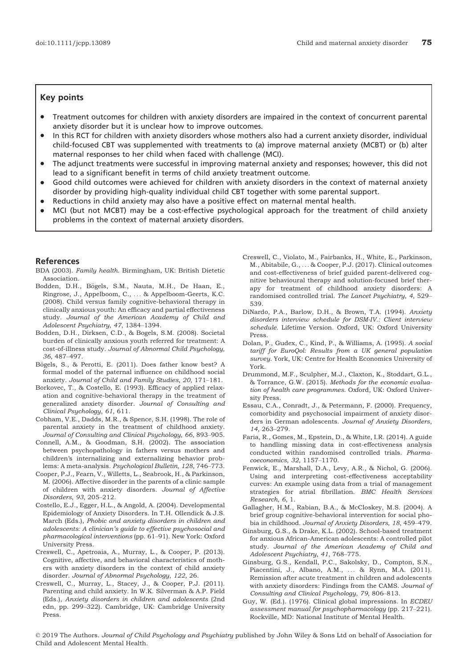# Key points

- Treatment outcomes for children with anxiety disorders are impaired in the context of concurrent parental anxiety disorder but it is unclear how to improve outcomes.
- In this RCT for children with anxiety disorders whose mothers also had a current anxiety disorder, individual child-focused CBT was supplemented with treatments to (a) improve maternal anxiety (MCBT) or (b) alter maternal responses to her child when faced with challenge (MCI).
- The adjunct treatments were successful in improving maternal anxiety and responses; however, this did not lead to a significant benefit in terms of child anxiety treatment outcome.
- Good child outcomes were achieved for children with anxiety disorders in the context of maternal anxiety disorder by providing high-quality individual child CBT together with some parental support.
- Reductions in child anxiety may also have a positive effect on maternal mental health.<br>• MCL (but not MCBT) may be a cost-effective psychological approach for the treatm
- MCI (but not MCBT) may be a cost-effective psychological approach for the treatment of child anxiety problems in the context of maternal anxiety disorders.

#### References

BDA (2003). Family health. Birmingham, UK: British Dietetic Association.

- Bodden, D.H., Bögels, S.M., Nauta, M.H., De Haan, E., Ringrose, J., Appelboom, C., ... & Appelboom-Geerts, K.C. (2008). Child versus family cognitive-behavioral therapy in clinically anxious youth: An efficacy and partial effectiveness study. Journal of the American Academy of Child and Adolescent Psychiatry, 47, 1384–1394.
- Bodden, D.H., Dirksen, C.D., & Bogels, S.M. (2008). Societal burden of clinically anxious youth referred for treatment: A cost-of-illness study. Journal of Abnormal Child Psychology, 36, 487–497.
- Bögels, S., & Perotti, E. (2011). Does father know best? A formal model of the paternal influence on childhood social anxiety. Journal of Child and Family Studies, 20, 171–181.
- Borkovec, T., & Costello, E. (1993). Efficacy of applied relaxation and cognitive-behavioral therapy in the treatment of generalized anxiety disorder. Journal of Consulting and Clinical Psychology, 61, 611.
- Cobham, V.E., Dadds, M.R., & Spence, S.H. (1998). The role of parental anxiety in the treatment of childhood anxiety. Journal of Consulting and Clinical Psychology, 66, 893–905.
- Connell, A.M., & Goodman, S.H. (2002). The association between psychopathology in fathers versus mothers and children's internalizing and externalizing behavior problems: A meta-analysis. Psychological Bulletin, 128, 746–773.
- Cooper, P.J., Fearn, V., Willetts, L., Seabrook, H., & Parkinson, M. (2006). Affective disorder in the parents of a clinic sample of children with anxiety disorders. Journal of Affective Disorders, 93, 205–212.
- Costello, E.J., Egger, H.L., & Angold, A. (2004). Developmental Epidemiology of Anxiety Disorders. In T.H. Ollendick & J.S. March (Eds.), Phobic and anxiety disorders in children and adolescents: A clinician's guide to effective psychosocial and pharmacological interventions (pp. 61–91). New York: Oxford University Press.
- Creswell, C., Apetroaia, A., Murray, L., & Cooper, P. (2013). Cognitive, affective, and behavioral characteristics of mothers with anxiety disorders in the context of child anxiety disorder. Journal of Abnormal Psychology, 122, 26.
- Creswell, C., Murray, L., Stacey, J., & Cooper, P.J. (2011). Parenting and child anxiety. In W.K. Silverman & A.P. Field (Eds.), Anxiety disorders in children and adolescents (2nd edn, pp. 299–322). Cambridge, UK: Cambridge University Press.
- Creswell, C., Violato, M., Fairbanks, H., White, E., Parkinson, M., Abitabile, G., ... & Cooper, P.J. (2017). Clinical outcomes and cost-effectiveness of brief guided parent-delivered cognitive behavioural therapy and solution-focused brief therapy for treatment of childhood anxiety disorders: A randomised controlled trial. The Lancet Psychiatry, 4, 529– 539.
- DiNardo, P.A., Barlow, D.H., & Brown, T.A. (1994). Anxiety disorders interview schedule for DSM-IV.: Client interview schedule. Lifetime Version. Oxford, UK: Oxford University Press.
- Dolan, P., Gudex, C., Kind, P., & Williams, A. (1995). A social tariff for EuroQol: Results from a UK general population survey. York, UK: Centre for Health Economics University of York.
- Drummond, M.F., Sculpher, M.J., Claxton, K., Stoddart, G.L., & Torrance, G.W. (2015). Methods for the economic evaluation of health care programmes. Oxford, UK: Oxford University Press.
- Essau, C.A., Conradt, J., & Petermann, F. (2000). Frequency, comorbidity and psychosocial impairment of anxiety disorders in German adolescents. Journal of Anxiety Disorders, 14, 263–279.
- Faria, R., Gomes, M., Epstein, D., & White, I.R. (2014). A guide to handling missing data in cost-effectiveness analysis conducted within randomised controlled trials. Pharmacoeconomics, 32, 1157–1170.
- Fenwick, E., Marshall, D.A., Levy, A.R., & Nichol, G. (2006). Using and interpreting cost-effectiveness acceptability curves: An example using data from a trial of management strategies for atrial fibrillation. BMC Health Services Research, 6, 1.
- Gallagher, H.M., Rabian, B.A., & McCloskey, M.S. (2004). A brief group cognitive-behavioral intervention for social phobia in childhood. Journal of Anxiety Disorders, 18, 459–479.
- Ginsburg, G.S., & Drake, K.L. (2002). School-based treatment for anxious African-American adolescents: A controlled pilot study. Journal of the American Academy of Child and Adolescent Psychiatry, 41, 768–775.
- Ginsburg, G.S., Kendall, P.C., Sakolsky, D., Compton, S.N., Piacentini, J., Albano, A.M., ... & Rynn, M.A. (2011). Remission after acute treatment in children and adolescents with anxiety disorders: Findings from the CAMS. Journal of Consulting and Clinical Psychology, 79, 806–813.
- Guy, W. (Ed.). (1976). Clinical global impressions. In ECDEU assessment manual for psychopharmacology (pp. 217–221). Rockville, MD: National Institute of Mental Health.